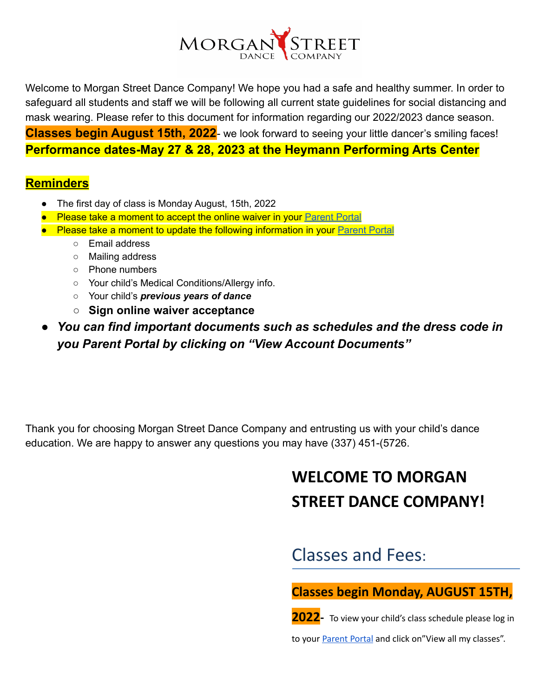

Welcome to Morgan Street Dance Company! We hope you had a safe and healthy summer. In order to safeguard all students and staff we will be following all current state guidelines for social distancing and mask wearing. Please refer to this document for information regarding our 2022/2023 dance season. **Classes begin August 15th, 2022**- we look forward to seeing your little dancer's smiling faces! **Performance dates-May 27 & 28, 2023 at the Heymann Performing Arts Center**

### **Reminders**

- The first day of class is Monday August, 15th, 2022
- Please take a moment to accept the online waiver in your [Parent](https://app.thestudiodirector.com/morganstreetdancecompa/portal.sd?page=Home) Portal
- Please take a moment to update the following information in your [Parent](https://app.thestudiodirector.com/morganstreetdancecompa/portal.sd?page=Home) Portal
	- Email address
	- Mailing address
	- Phone numbers
	- Your child's Medical Conditions/Allergy info.
	- Your child's *previous years of dance*
	- **○ Sign online waiver acceptance**
- *● You can find important documents such as schedules and the dress code in you Parent Portal by clicking on "View Account Documents"*

Thank you for choosing Morgan Street Dance Company and entrusting us with your child's dance education. We are happy to answer any questions you may have (337) 451-(5726.

# **WELCOME TO MORGAN STREET DANCE COMPANY!**

Classes and Fees:

**Classes begin Monday, AUGUST 15TH,**

**2022-** To view your child's class schedule please log in

to your [Parent](https://app.thestudiodirector.com/morganstreetdancecompa/portal.sd) Portal and click on"View all my classes".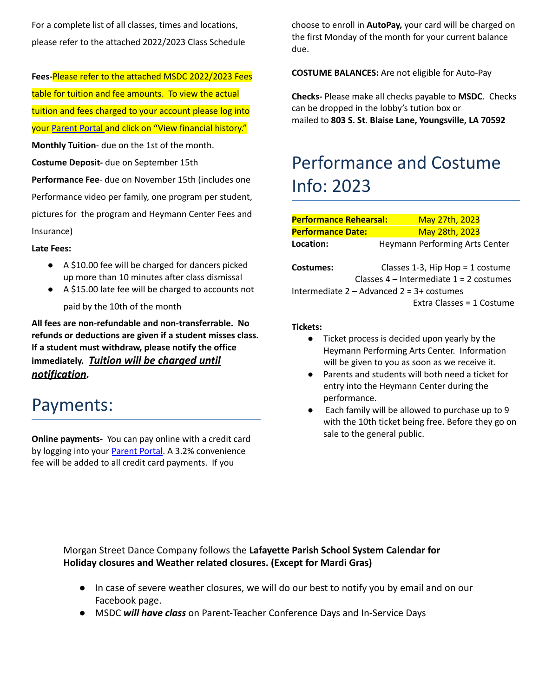For a complete list of all classes, times and locations, please refer to the attached 2022/2023 Class Schedule

**Fees-**Please refer to the attached MSDC 2022/2023 Fees table for tuition and fee amounts. To view the actual tuition and fees charged to your account please log into your [Parent](https://app.thestudiodirector.com/morganstreetdancecompa/portal.sd?page=Home) Portal and click on "View financial history."

**Monthly Tuition**- due on the 1st of the month.

**Costume Deposit-** due on September 15th

**Performance Fee**- due on November 15th (includes one Performance video per family, one program per student, pictures for the program and Heymann Center Fees and Insurance)

#### **Late Fees:**

- A \$10.00 fee will be charged for dancers picked up more than 10 minutes after class dismissal
- A \$15.00 late fee will be charged to accounts not paid by the 10th of the month

**All fees are non-refundable and non-transferrable. No refunds or deductions are given if a student misses class. If a student must withdraw, please notify the office immediately.** *Tuition will be charged until notification.*

### Payments:

**Online payments-** You can pay online with a credit card by logging into your Parent Portal. A 3.2% convenience fee will be added to all credit card payments. If you

choose to enroll in **AutoPay,** your card will be charged on the first Monday of the month for your current balance due.

**COSTUME BALANCES:** Are not eligible for Auto-Pay

**Checks-** Please make all checks payable to **MSDC**. Checks can be dropped in the lobby's tution box or mailed to **803 S. St. Blaise Lane, Youngsville, LA 70592**

# Performance and Costume Info: 2023

| <b>Performance Rehearsal:</b>                  |  | May 27th, 2023                        |  |  |  |  |
|------------------------------------------------|--|---------------------------------------|--|--|--|--|
| <b>Performance Date:</b>                       |  | May 28th, 2023                        |  |  |  |  |
| Location:                                      |  | <b>Heymann Performing Arts Center</b> |  |  |  |  |
|                                                |  |                                       |  |  |  |  |
| Costumes:                                      |  | Classes 1-3, Hip Hop = 1 costume      |  |  |  |  |
| Classes $4$ – Intermediate $1 = 2$ costumes    |  |                                       |  |  |  |  |
| Intermediate $2 -$ Advanced $2 = 3 +$ costumes |  |                                       |  |  |  |  |
|                                                |  | Extra Classes = 1 Costume             |  |  |  |  |

#### **Tickets:**

- Ticket process is decided upon yearly by the Heymann Performing Arts Center. Information will be given to you as soon as we receive it.
- Parents and students will both need a ticket for entry into the Heymann Center during the performance.
- Each family will be allowed to purchase up to 9 with the 10th ticket being free. Before they go on sale to the general public.

Morgan Street Dance Company follows the **Lafayette Parish School System Calendar for Holiday closures and Weather related closures. (Except for Mardi Gras)**

- In case of severe weather closures, we will do our best to notify you by email and on our Facebook page.
- MSDC *will have class* on Parent-Teacher Conference Days and In-Service Days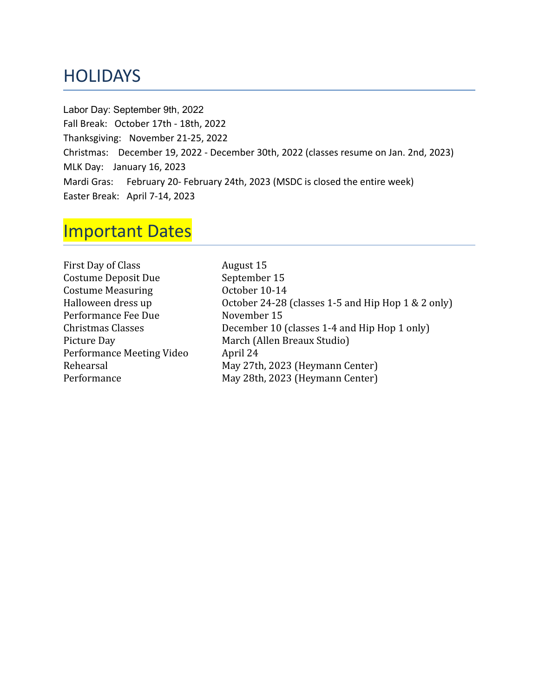## **HOLIDAYS**

Labor Day: September 9th, 2022 Fall Break: October 17th - 18th, 2022 Thanksgiving: November 21-25, 2022 Christmas: December 19, 2022 - December 30th, 2022 (classes resume on Jan. 2nd, 2023) MLK Day: January 16, 2023 Mardi Gras: February 20- February 24th, 2023 (MSDC is closed the entire week) Easter Break: April 7-14, 2023

## Important Dates

| August 15                                          |
|----------------------------------------------------|
| September 15                                       |
| October 10-14                                      |
| October 24-28 (classes 1-5 and Hip Hop 1 & 2 only) |
| November 15                                        |
| December 10 (classes 1-4 and Hip Hop 1 only)       |
| March (Allen Breaux Studio)                        |
| April 24                                           |
| May 27th, 2023 (Heymann Center)                    |
| May 28th, 2023 (Heymann Center)                    |
|                                                    |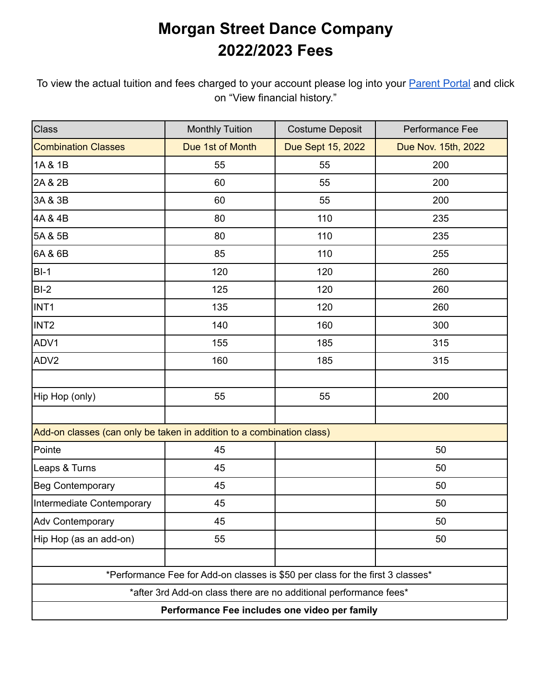## **Morgan Street Dance Company 2022/2023 Fees**

To view the actual tuition and fees charged to your account please log into your [Parent Portal](https://app.thestudiodirector.com/morganstreetdancecompa/portal.sd?page=Home) and click on "View financial history."

| Class                                                                          | <b>Monthly Tuition</b> | <b>Costume Deposit</b> | Performance Fee     |  |  |  |
|--------------------------------------------------------------------------------|------------------------|------------------------|---------------------|--|--|--|
| <b>Combination Classes</b>                                                     | Due 1st of Month       | Due Sept 15, 2022      | Due Nov. 15th, 2022 |  |  |  |
| 1A & 1B                                                                        | 55                     | 55                     | 200                 |  |  |  |
| 2A & 2B                                                                        | 60                     | 55                     | 200                 |  |  |  |
| 3A & 3B                                                                        | 60                     | 55                     | 200                 |  |  |  |
| 4A & 4B                                                                        | 80                     | 110                    | 235                 |  |  |  |
| 5A & 5B                                                                        | 80                     | 110                    | 235                 |  |  |  |
| 6A & 6B                                                                        | 85                     | 110                    | 255                 |  |  |  |
| $BI-1$                                                                         | 120                    | 120                    | 260                 |  |  |  |
| $BI-2$                                                                         | 125                    | 120                    | 260                 |  |  |  |
| INT <sub>1</sub>                                                               | 135                    | 120                    | 260                 |  |  |  |
| INT <sub>2</sub>                                                               | 140                    | 160                    | 300                 |  |  |  |
| ADV1                                                                           | 155                    | 185                    | 315                 |  |  |  |
| ADV <sub>2</sub>                                                               | 160                    | 185                    | 315                 |  |  |  |
|                                                                                |                        |                        |                     |  |  |  |
| Hip Hop (only)                                                                 | 55                     | 55                     | 200                 |  |  |  |
|                                                                                |                        |                        |                     |  |  |  |
| Add-on classes (can only be taken in addition to a combination class)          |                        |                        |                     |  |  |  |
| Pointe                                                                         | 45                     |                        | 50                  |  |  |  |
| Leaps & Turns                                                                  | 45                     |                        | 50                  |  |  |  |
| <b>Beg Contemporary</b>                                                        | 45                     |                        | 50                  |  |  |  |
| Intermediate Contemporary                                                      | 45                     |                        | 50                  |  |  |  |
| <b>Adv Contemporary</b>                                                        | 45                     |                        | 50                  |  |  |  |
| Hip Hop (as an add-on)                                                         | 55                     |                        | 50                  |  |  |  |
|                                                                                |                        |                        |                     |  |  |  |
| *Performance Fee for Add-on classes is \$50 per class for the first 3 classes* |                        |                        |                     |  |  |  |
| *after 3rd Add-on class there are no additional performance fees*              |                        |                        |                     |  |  |  |
| Performance Fee includes one video per family                                  |                        |                        |                     |  |  |  |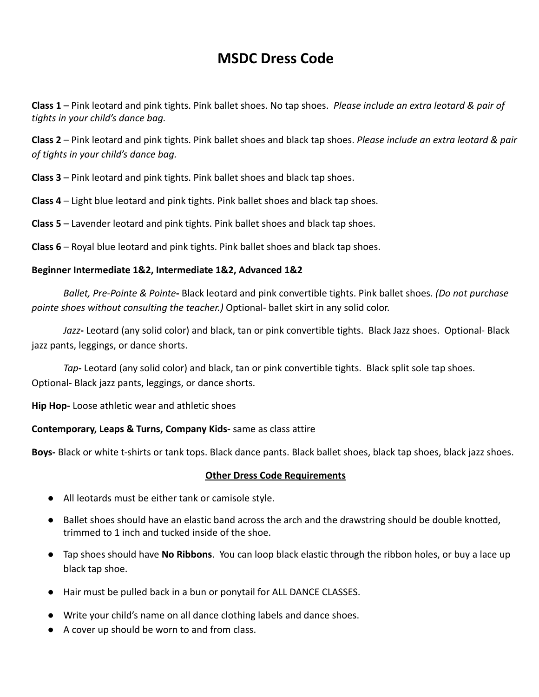### **MSDC Dress Code**

**Class 1** – Pink leotard and pink tights. Pink ballet shoes. No tap shoes. *Please include an extra leotard & pair of tights in your child's dance bag.*

**Class 2** – Pink leotard and pink tights. Pink ballet shoes and black tap shoes. *Please include an extra leotard & pair of tights in your child's dance bag.*

**Class 3** – Pink leotard and pink tights. Pink ballet shoes and black tap shoes.

**Class 4** – Light blue leotard and pink tights. Pink ballet shoes and black tap shoes.

**Class 5** – Lavender leotard and pink tights. Pink ballet shoes and black tap shoes.

**Class 6** – Royal blue leotard and pink tights. Pink ballet shoes and black tap shoes.

#### **Beginner Intermediate 1&2, Intermediate 1&2, Advanced 1&2**

*Ballet, Pre-Pointe & Pointe***-** Black leotard and pink convertible tights. Pink ballet shoes. *(Do not purchase pointe shoes without consulting the teacher.)* Optional- ballet skirt in any solid color.

*Jazz***-** Leotard (any solid color) and black, tan or pink convertible tights. Black Jazz shoes. Optional- Black jazz pants, leggings, or dance shorts.

*Tap***-** Leotard (any solid color) and black, tan or pink convertible tights. Black split sole tap shoes. Optional- Black jazz pants, leggings, or dance shorts.

**Hip Hop-** Loose athletic wear and athletic shoes

### **Contemporary, Leaps & Turns, Company Kids-** same as class attire

**Boys-** Black or white t-shirts or tank tops. Black dance pants. Black ballet shoes, black tap shoes, black jazz shoes.

#### **Other Dress Code Requirements**

- All leotards must be either tank or camisole style.
- Ballet shoes should have an elastic band across the arch and the drawstring should be double knotted, trimmed to 1 inch and tucked inside of the shoe.
- Tap shoes should have **No Ribbons**. You can loop black elastic through the ribbon holes, or buy a lace up black tap shoe.
- Hair must be pulled back in a bun or ponytail for ALL DANCE CLASSES.
- Write your child's name on all dance clothing labels and dance shoes.
- A cover up should be worn to and from class.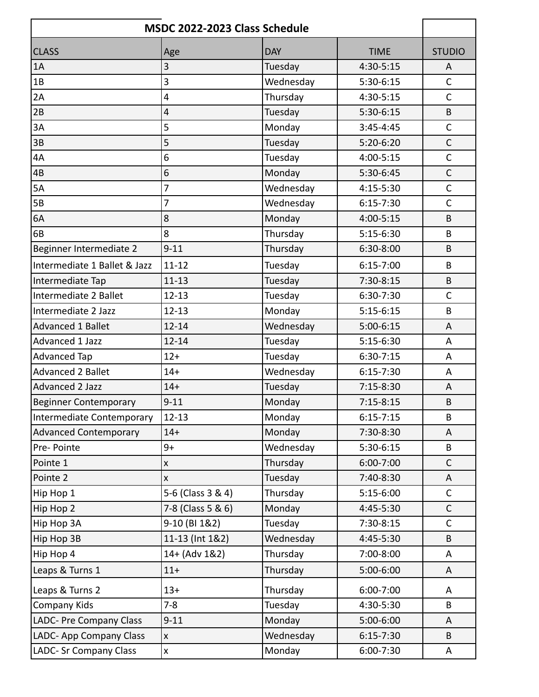| MSDC 2022-2023 Class Schedule |                    |            |               |               |  |
|-------------------------------|--------------------|------------|---------------|---------------|--|
| <b>CLASS</b>                  | Age                | <b>DAY</b> | <b>TIME</b>   | <b>STUDIO</b> |  |
| 1A                            | 3                  | Tuesday    | 4:30-5:15     | A             |  |
| 1B                            | 3                  | Wednesday  | 5:30-6:15     | $\mathsf{C}$  |  |
| 2A                            | 4                  | Thursday   | 4:30-5:15     | $\mathsf{C}$  |  |
| 2B                            | 4                  | Tuesday    | $5:30-6:15$   | B             |  |
| 3A                            | 5                  | Monday     | $3:45 - 4:45$ | $\mathsf C$   |  |
| 3B                            | 5                  | Tuesday    | $5:20-6:20$   | $\mathsf C$   |  |
| 4A                            | 6                  | Tuesday    | 4:00-5:15     | $\mathsf C$   |  |
| 4B                            | 6                  | Monday     | 5:30-6:45     | $\mathsf C$   |  |
| 5A                            | 7                  | Wednesday  | 4:15-5:30     | $\mathsf{C}$  |  |
| 5B                            | 7                  | Wednesday  | $6:15 - 7:30$ | $\mathsf{C}$  |  |
| 6A                            | 8                  | Monday     | 4:00-5:15     | B             |  |
| 6B                            | $\overline{8}$     | Thursday   | $5:15-6:30$   | B             |  |
| Beginner Intermediate 2       | $9 - 11$           | Thursday   | 6:30-8:00     | B             |  |
| Intermediate 1 Ballet & Jazz  | $11 - 12$          | Tuesday    | $6:15 - 7:00$ | B             |  |
| Intermediate Tap              | $11 - 13$          | Tuesday    | $7:30-8:15$   | B             |  |
| Intermediate 2 Ballet         | $12 - 13$          | Tuesday    | 6:30-7:30     | $\mathsf{C}$  |  |
| Intermediate 2 Jazz           | $12 - 13$          | Monday     | $5:15-6:15$   | B             |  |
| <b>Advanced 1 Ballet</b>      | $12 - 14$          | Wednesday  | $5:00-6:15$   | A             |  |
| Advanced 1 Jazz               | $12 - 14$          | Tuesday    | $5:15-6:30$   | A             |  |
| <b>Advanced Tap</b>           | $12+$              | Tuesday    | $6:30-7:15$   | A             |  |
| <b>Advanced 2 Ballet</b>      | $14 +$             | Wednesday  | $6:15 - 7:30$ | A             |  |
| Advanced 2 Jazz               | $14 +$             | Tuesday    | $7:15-8:30$   | A             |  |
| Beginner Contemporary         | $9 - 11$           | Monday     | $7:15-8:15$   | B             |  |
| Intermediate Contemporary     | $12 - 13$          | Monday     | $6:15 - 7:15$ | B             |  |
| <b>Advanced Contemporary</b>  | $14 +$             | Monday     | 7:30-8:30     | A             |  |
| Pre-Pointe                    | $9+$               | Wednesday  | 5:30-6:15     | B             |  |
| Pointe 1                      | X                  | Thursday   | 6:00-7:00     | $\mathsf C$   |  |
| Pointe 2                      | $\pmb{\mathsf{X}}$ | Tuesday    | 7:40-8:30     | A             |  |
| Hip Hop 1                     | 5-6 (Class 3 & 4)  | Thursday   | $5:15-6:00$   | $\mathsf{C}$  |  |
| Hip Hop 2                     | 7-8 (Class 5 & 6)  | Monday     | 4:45-5:30     | $\mathsf C$   |  |
| Hip Hop 3A                    | 9-10 (BI 1&2)      | Tuesday    | 7:30-8:15     | $\mathsf C$   |  |
| Hip Hop 3B                    | 11-13 (Int 1&2)    | Wednesday  | 4:45-5:30     | B             |  |
| Hip Hop 4                     | 14+ (Adv 1&2)      | Thursday   | 7:00-8:00     | A             |  |
| Leaps & Turns 1               | $11 +$             | Thursday   | 5:00-6:00     | A             |  |
| Leaps & Turns 2               | $13+$              | Thursday   | 6:00-7:00     | A             |  |
| Company Kids                  | $7 - 8$            | Tuesday    | 4:30-5:30     | B             |  |
| LADC- Pre Company Class       | $9 - 11$           | Monday     | 5:00-6:00     | A             |  |
| LADC- App Company Class       | $\mathsf{x}$       | Wednesday  | $6:15 - 7:30$ | B             |  |
| LADC- Sr Company Class        | X                  | Monday     | 6:00-7:30     | A             |  |